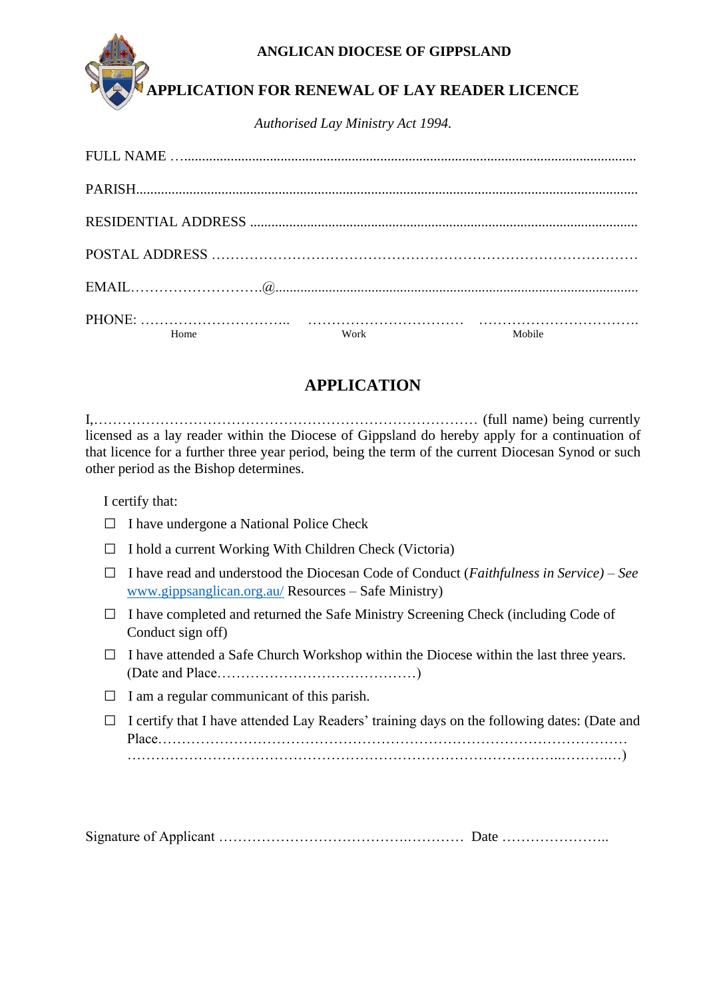### **ANGLICAN DIOCESE OF GIPPSLAND**



# **APPLICATION FOR RENEWAL OF LAY READER LICENCE**

*Authorised Lay Ministry Act 1994.*

| Home | Work | Mobile |
|------|------|--------|

## **APPLICATION**

I,……………………………………………………………………… (full name) being currently licensed as a lay reader within the Diocese of Gippsland do hereby apply for a continuation of that licence for a further three year period, being the term of the current Diocesan Synod or such other period as the Bishop determines.

I certify that:

| $\Box$ I have undergone a National Police Check |  |  |
|-------------------------------------------------|--|--|
|                                                 |  |  |

- $\Box$  I hold a current Working With Children Check (Victoria)
- □ I have read and understood the Diocesan Code of Conduct (*Faithfulness in Service) – See*  [www.gippsanglican.org.au/](http://www.gippsanglican.org.au/) Resources – Safe Ministry)
- $\Box$  I have completed and returned the Safe Ministry Screening Check (including Code of Conduct sign off)
- $\Box$  I have attended a Safe Church Workshop within the Diocese within the last three years. (Date and Place……………………………………)
- $\Box$  I am a regular communicant of this parish.
- $\Box$  I certify that I have attended Lay Readers' training days on the following dates: (Date and Place……………………………………………………………………………………… ………………………………………………………………………………..……….…)

Signature of Applicant ………………………………….………… Date …………………..